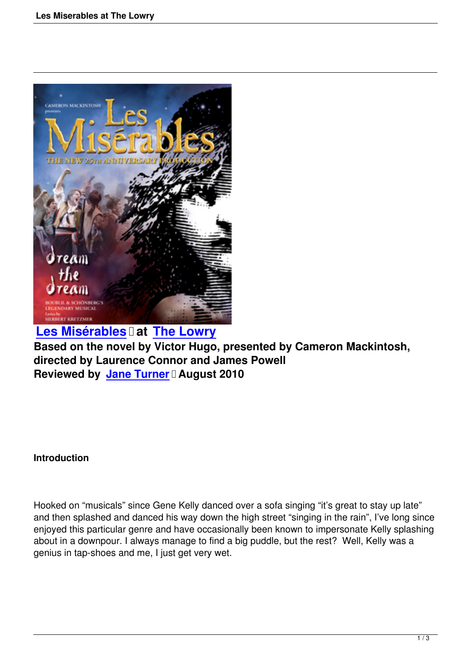

**Les Misérables** at **The Lowry Based on the novel by Victor Hugo, presented by Cameron Mackintosh, directed by Laurence Connor and James Powell [Reviewed by Jane](les-miserables-reviewed-by-jane-turner.html) Turner  [August](http://www.thelowry.com/) 2010**

## **Introduction**

Hooked on "musicals" since Gene Kelly danced over a sofa singing "it's great to stay up late" and then splashed and danced his way down the high street "singing in the rain", I've long since enjoyed this particular genre and have occasionally been known to impersonate Kelly splashing about in a downpour. I always manage to find a big puddle, but the rest? Well, Kelly was a genius in tap-shoes and me, I just get very wet.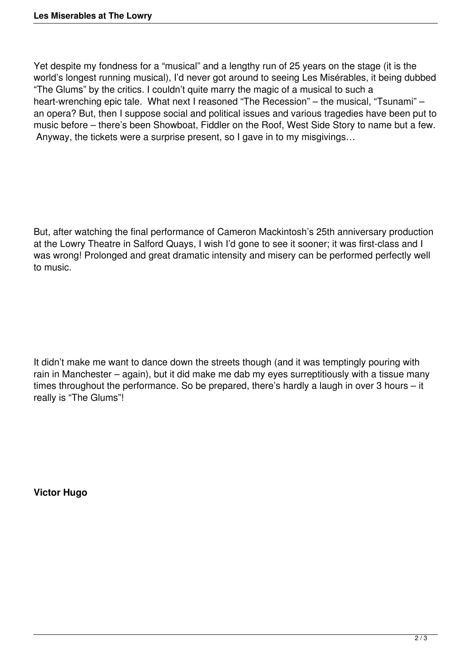Yet despite my fondness for a "musical" and a lengthy run of 25 years on the stage (it is the world's longest running musical), I'd never got around to seeing Les Misérables, it being dubbed "The Glums" by the critics. I couldn't quite marry the magic of a musical to such a heart-wrenching epic tale. What next I reasoned "The Recession" – the musical, "Tsunami" – an opera? But, then I suppose social and political issues and various tragedies have been put to music before – there's been Showboat, Fiddler on the Roof, West Side Story to name but a few. Anyway, the tickets were a surprise present, so I gave in to my misgivings…

But, after watching the final performance of Cameron Mackintosh's 25th anniversary production at the Lowry Theatre in Salford Quays, I wish I'd gone to see it sooner; it was first-class and I was wrong! Prolonged and great dramatic intensity and misery can be performed perfectly well to music.

It didn't make me want to dance down the streets though (and it was temptingly pouring with rain in Manchester – again), but it did make me dab my eyes surreptitiously with a tissue many times throughout the performance. So be prepared, there's hardly a laugh in over 3 hours – it really is "The Glums"!

**Victor Hugo**